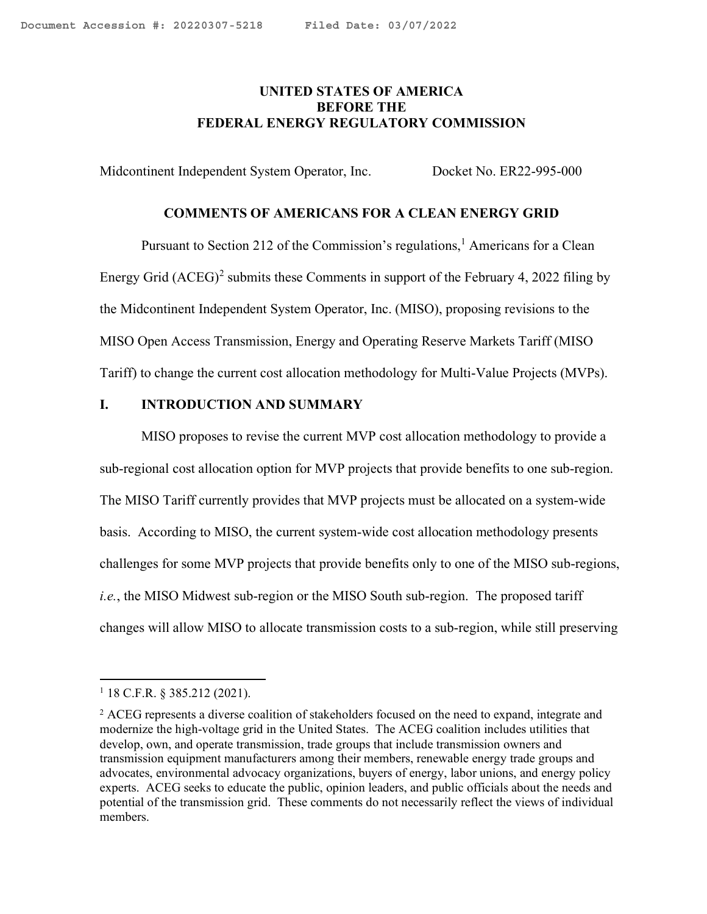## <span id="page-0-2"></span>**UNITED STATES OF AMERICA BEFORE THE FEDERAL ENERGY REGULATORY COMMISSION**

Midcontinent Independent System Operator, Inc. Docket No. ER22-995-000

#### **COMMENTS OF AMERICANS FOR A CLEAN ENERGY GRID**

Pursuant to Section 2[1](#page-0-0)2 of the Commission's regulations,<sup>1</sup> Americans for a Clean Energy Grid  $(ACEG)^2$  $(ACEG)^2$  submits these Comments in support of the February 4, 2022 filing by the Midcontinent Independent System Operator, Inc. (MISO), proposing revisions to the MISO Open Access Transmission, Energy and Operating Reserve Markets Tariff (MISO Tariff) to change the current cost allocation methodology for Multi-Value Projects (MVPs).

### **I. INTRODUCTION AND SUMMARY**

MISO proposes to revise the current MVP cost allocation methodology to provide a sub-regional cost allocation option for MVP projects that provide benefits to one sub-region. The MISO Tariff currently provides that MVP projects must be allocated on a system-wide basis. According to MISO, the current system-wide cost allocation methodology presents challenges for some MVP projects that provide benefits only to one of the MISO sub-regions, *i.e.*, the MISO Midwest sub-region or the MISO South sub-region. The proposed tariff changes will allow MISO to allocate transmission costs to a sub-region, while still preserving

<span id="page-0-0"></span> $1$  18 C.F.R. § 385.212 (2021).

<span id="page-0-1"></span><sup>&</sup>lt;sup>2</sup> ACEG represents a diverse coalition of stakeholders focused on the need to expand, integrate and modernize the high-voltage grid in the United States. The ACEG coalition includes utilities that develop, own, and operate transmission, trade groups that include transmission owners and transmission equipment manufacturers among their members, renewable energy trade groups and advocates, environmental advocacy organizations, buyers of energy, labor unions, and energy policy experts. ACEG seeks to educate the public, opinion leaders, and public officials about the needs and potential of the transmission grid. These comments do not necessarily reflect the views of individual members.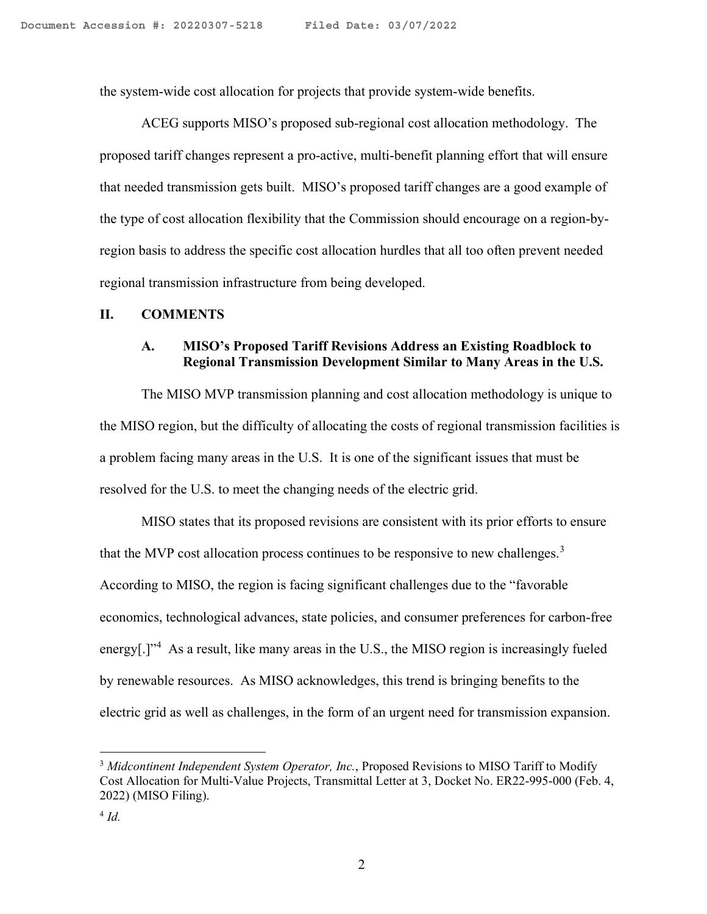the system-wide cost allocation for projects that provide system-wide benefits.

ACEG supports MISO's proposed sub-regional cost allocation methodology. The proposed tariff changes represent a pro-active, multi-benefit planning effort that will ensure that needed transmission gets built. MISO's proposed tariff changes are a good example of the type of cost allocation flexibility that the Commission should encourage on a region-byregion basis to address the specific cost allocation hurdles that all too often prevent needed regional transmission infrastructure from being developed.

#### **II. COMMENTS**

## **A. MISO's Proposed Tariff Revisions Address an Existing Roadblock to Regional Transmission Development Similar to Many Areas in the U.S.**

The MISO MVP transmission planning and cost allocation methodology is unique to the MISO region, but the difficulty of allocating the costs of regional transmission facilities is a problem facing many areas in the U.S. It is one of the significant issues that must be resolved for the U.S. to meet the changing needs of the electric grid.

MISO states that its proposed revisions are consistent with its prior efforts to ensure that the MVP cost allocation process continues to be responsive to new challenges. $3$ According to MISO, the region is facing significant challenges due to the "favorable economics, technological advances, state policies, and consumer preferences for carbon-free energy[.]"<sup>[4](#page-1-1)</sup> As a result, like many areas in the U.S., the MISO region is increasingly fueled by renewable resources. As MISO acknowledges, this trend is bringing benefits to the electric grid as well as challenges, in the form of an urgent need for transmission expansion.

<span id="page-1-0"></span><sup>3</sup> Midcontinent Independent System Operator, Inc., Proposed Revisions to MISO Tariff to Modify Cost Allocation for Multi-Value Projects, Transmittal Letter at 3, Docket No. ER22-995-000 (Feb. 4, 2022) (MISO Filing).

<span id="page-1-1"></span> $4$   $Id.$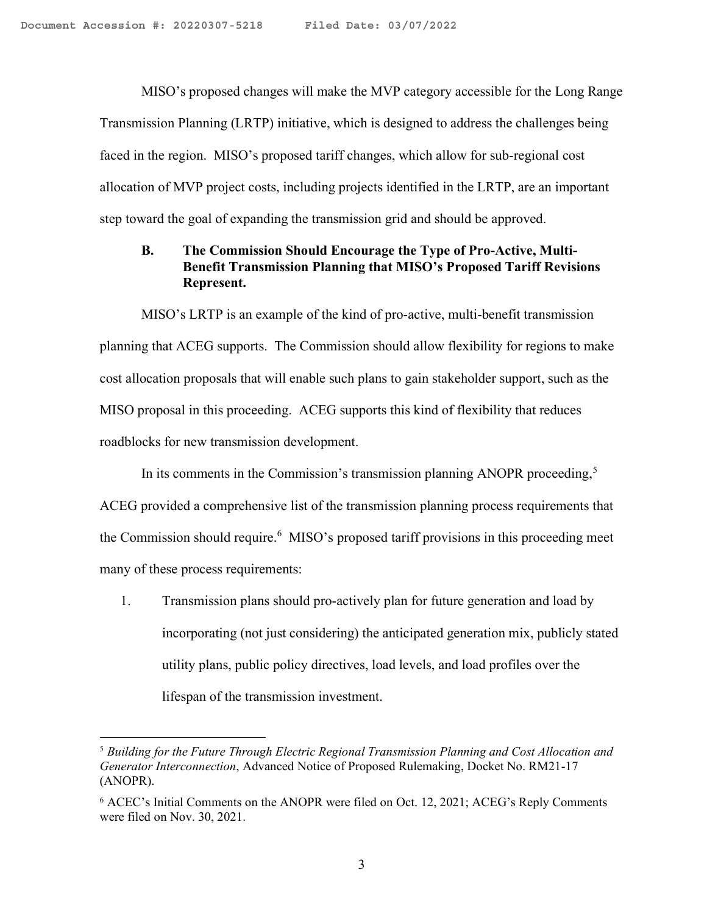MISO's proposed changes will make the MVP category accessible for the Long Range Transmission Planning (LRTP) initiative, which is designed to address the challenges being faced in the region. MISO's proposed tariff changes, which allow for sub-regional cost allocation of MVP project costs, including projects identified in the LRTP, are an important step toward the goal of expanding the transmission grid and should be approved.

# **B. The Commission Should Encourage the Type of Pro-Active, Multi-Benefit Transmission Planning that MISO's Proposed Tariff Revisions Represent.**

MISO's LRTP is an example of the kind of pro-active, multi-benefit transmission planning that ACEG supports. The Commission should allow flexibility for regions to make cost allocation proposals that will enable such plans to gain stakeholder support, such as the MISO proposal in this proceeding. ACEG supports this kind of flexibility that reduces roadblocks for new transmission development.

In its comments in the Commission's transmission planning ANOPR proceeding,<sup>[5](#page-2-0)</sup>

ACEG provided a comprehensive list of the transmission planning process requirements that the Commission should require.<sup>[6](#page-2-1)</sup> MISO's proposed tariff provisions in this proceeding meet many of these process requirements:

1. Transmission plans should pro-actively plan for future generation and load by incorporating (not just considering) the anticipated generation mix, publicly stated utility plans, public policy directives, load levels, and load profiles over the lifespan of the transmission investment.

<span id="page-2-0"></span><sup>5</sup> *Building for the Future Through Electric Regional Transmission Planning and Cost Allocation and Generator Interconnection*, Advanced Notice of Proposed Rulemaking, Docket No. RM21-17 (ANOPR).

<span id="page-2-1"></span><sup>6</sup> ACEC's Initial Comments on the ANOPR were filed on Oct. 12, 2021; ACEG's Reply Comments were filed on Nov. 30, 2021.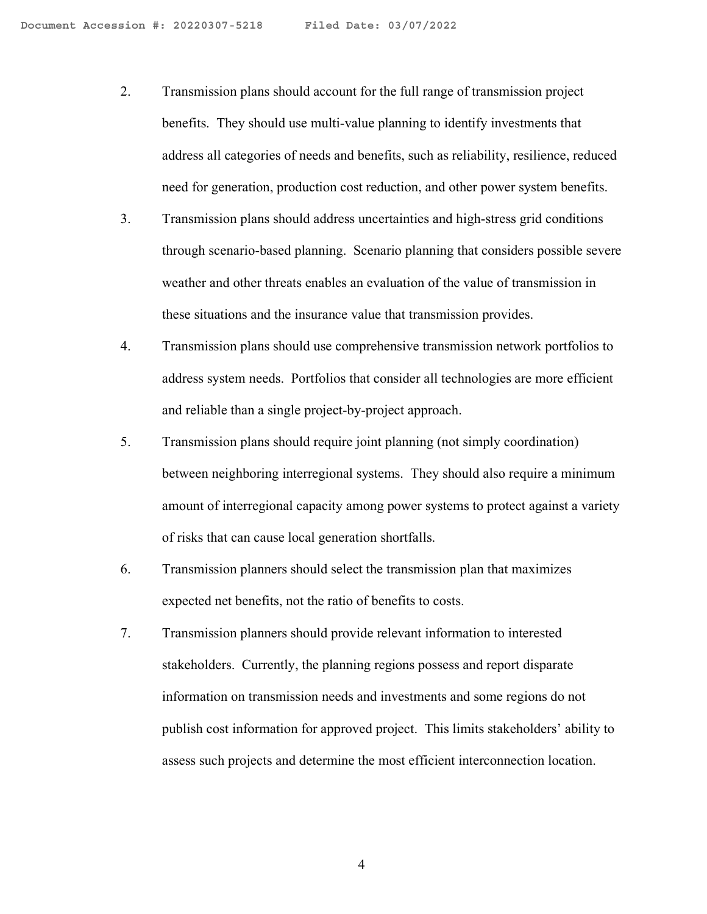- 2. Transmission plans should account for the full range of transmission project benefits. They should use multi-value planning to identify investments that address all categories of needs and benefits, such as reliability, resilience, reduced need for generation, production cost reduction, and other power system benefits.
- 3. Transmission plans should address uncertainties and high-stress grid conditions through scenario-based planning. Scenario planning that considers possible severe weather and other threats enables an evaluation of the value of transmission in these situations and the insurance value that transmission provides.
- 4. Transmission plans should use comprehensive transmission network portfolios to address system needs. Portfolios that consider all technologies are more efficient and reliable than a single project-by-project approach.
- 5. Transmission plans should require joint planning (not simply coordination) between neighboring interregional systems. They should also require a minimum amount of interregional capacity among power systems to protect against a variety of risks that can cause local generation shortfalls.
- 6. Transmission planners should select the transmission plan that maximizes expected net benefits, not the ratio of benefits to costs.
- 7. Transmission planners should provide relevant information to interested stakeholders. Currently, the planning regions possess and report disparate information on transmission needs and investments and some regions do not publish cost information for approved project. This limits stakeholders' ability to assess such projects and determine the most efficient interconnection location.

4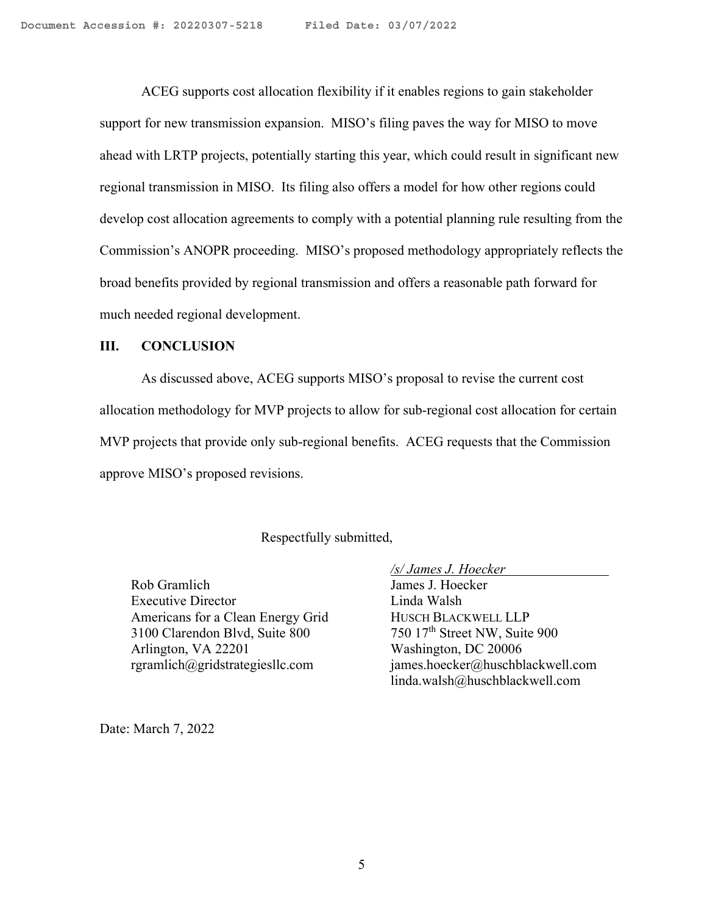ACEG supports cost allocation flexibility if it enables regions to gain stakeholder support for new transmission expansion. MISO's filing paves the way for MISO to move ahead with LRTP projects, potentially starting this year, which could result in significant new regional transmission in MISO. Its filing also offers a model for how other regions could develop cost allocation agreements to comply with a potential planning rule resulting from the Commission's ANOPR proceeding. MISO's proposed methodology appropriately reflects the broad benefits provided by regional transmission and offers a reasonable path forward for much needed regional development.

### **III. CONCLUSION**

As discussed above, ACEG supports MISO's proposal to revise the current cost allocation methodology for MVP projects to allow for sub-regional cost allocation for certain MVP projects that provide only sub-regional benefits. ACEG requests that the Commission approve MISO's proposed revisions.

### Respectfully submitted,

Rob Gramlich James J. Hoecker Executive Director Linda Walsh Americans for a Clean Energy Grid HUSCH BLACKWELL LLP 3100 Clarendon Blvd, Suite 800 750 17<sup>th</sup> Street NW, Suite 900<br>Arlington, VA 22201 Washington, DC 20006 Arlington, VA 22201

*/s/ James J. Hoecker*  rgramlich@gridstrategiesllc.com james.hoecker@huschblackwell.com linda.walsh@huschblackwell.com

Date: March 7, 2022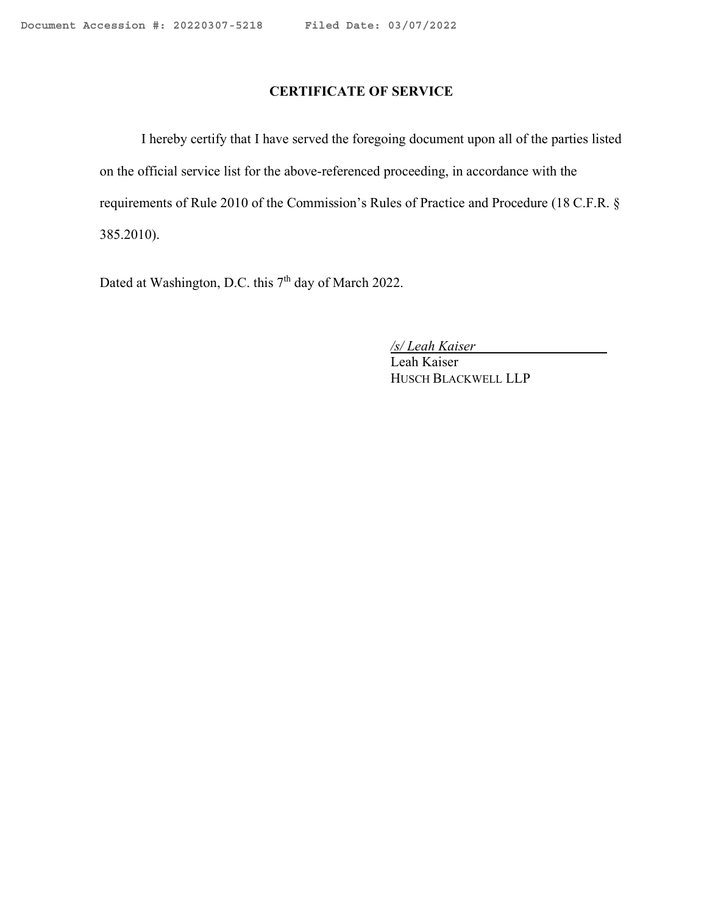# **CERTIFICATE OF SERVICE**

I hereby certify that I have served the foregoing document upon all of the parties listed on the official service list for the above-referenced proceeding, in accordance with the requirements of Rule 2010 of the Commission's Rules of Practice and Procedure (18 C.F.R. § 385.2010).

Dated at Washington, D.C. this 7<sup>th</sup> day of March 2022.

*/s/ Leah Kaiser* 

Leah Kaiser HUSCH BLACKWELL LLP